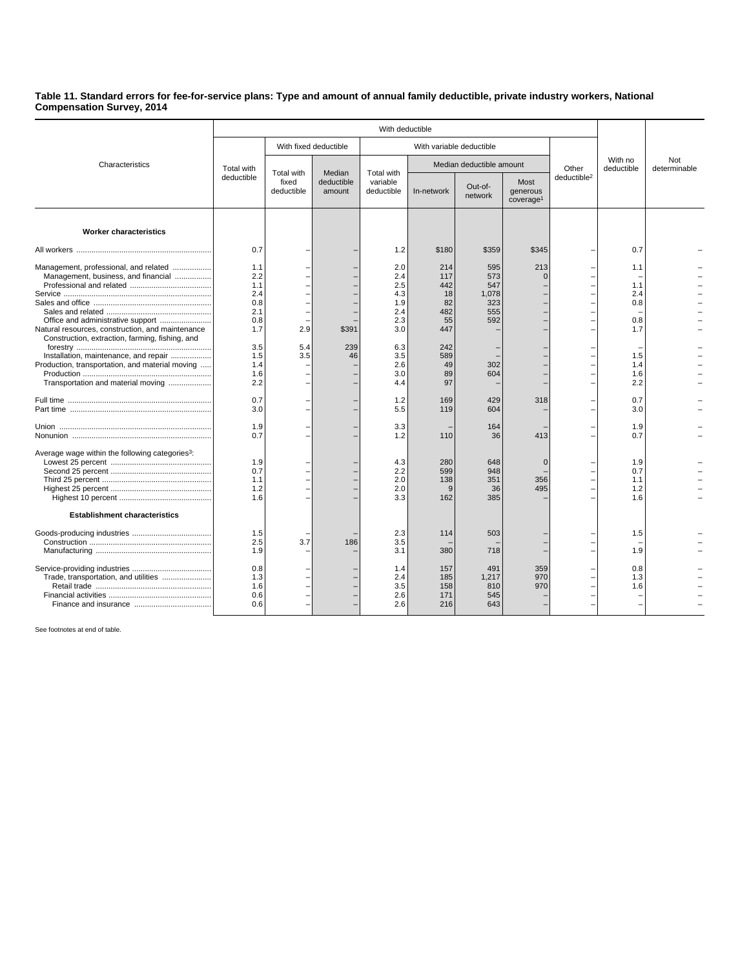## **Table 11. Standard errors for fee-for-service plans: Type and amount of annual family deductible, private industry workers, National Compensation Survey, 2014**

| Characteristics                                                                                                                                                                                                                                                                 | With deductible                                                           |                                   |                                |                                                                           |                                                                       |                                                        |                                           |                         |                                                      |                     |
|---------------------------------------------------------------------------------------------------------------------------------------------------------------------------------------------------------------------------------------------------------------------------------|---------------------------------------------------------------------------|-----------------------------------|--------------------------------|---------------------------------------------------------------------------|-----------------------------------------------------------------------|--------------------------------------------------------|-------------------------------------------|-------------------------|------------------------------------------------------|---------------------|
|                                                                                                                                                                                                                                                                                 |                                                                           | With fixed deductible             |                                | With variable deductible                                                  |                                                                       |                                                        |                                           |                         |                                                      |                     |
|                                                                                                                                                                                                                                                                                 | Total with<br>deductible                                                  | Total with<br>fixed<br>deductible | Median<br>deductible<br>amount | Total with<br>variable<br>deductible                                      | Median deductible amount                                              |                                                        |                                           | Other                   | With no<br>deductible                                | Not<br>determinable |
|                                                                                                                                                                                                                                                                                 |                                                                           |                                   |                                |                                                                           | In-network                                                            | Out-of-<br>network                                     | Most<br>generous<br>coverage <sup>1</sup> | deductible <sup>2</sup> |                                                      |                     |
| <b>Worker characteristics</b>                                                                                                                                                                                                                                                   |                                                                           |                                   |                                |                                                                           |                                                                       |                                                        |                                           |                         |                                                      |                     |
|                                                                                                                                                                                                                                                                                 | 0.7                                                                       |                                   |                                | 1.2                                                                       | \$180                                                                 | \$359                                                  | \$345                                     |                         | 0.7                                                  |                     |
| Management, professional, and related<br>Management, business, and financial<br>Natural resources, construction, and maintenance<br>Construction, extraction, farming, fishing, and<br>Installation, maintenance, and repair<br>Production, transportation, and material moving | 1.1<br>2.2<br>1.1<br>2.4<br>0.8<br>2.1<br>0.8<br>1.7<br>3.5<br>1.5<br>1.4 | 2.9<br>5.4<br>3.5                 | \$391<br>239<br>46             | 2.0<br>2.4<br>2.5<br>4.3<br>1.9<br>2.4<br>2.3<br>3.0<br>6.3<br>3.5<br>2.6 | 214<br>117<br>442<br>18<br>82<br>482<br>55<br>447<br>242<br>589<br>49 | 595<br>573<br>547<br>1,078<br>323<br>555<br>592<br>302 | 213<br>$\Omega$                           |                         | 1.1<br>1.1<br>2.4<br>0.8<br>0.8<br>1.7<br>1.5<br>1.4 |                     |
| Transportation and material moving                                                                                                                                                                                                                                              | 1.6<br>2.2                                                                |                                   |                                | 3.0<br>4.4                                                                | 89<br>97                                                              | 604                                                    |                                           |                         | 1.6<br>2.2                                           |                     |
|                                                                                                                                                                                                                                                                                 | 0.7<br>3.0                                                                |                                   |                                | 1.2<br>5.5                                                                | 169<br>119                                                            | 429<br>604                                             | 318                                       |                         | 0.7<br>3.0                                           |                     |
|                                                                                                                                                                                                                                                                                 | 1.9<br>0.7                                                                |                                   |                                | 3.3<br>1.2                                                                | 110                                                                   | 164<br>36                                              | 413                                       |                         | 1.9<br>0.7                                           |                     |
| Average wage within the following categories <sup>3</sup> :                                                                                                                                                                                                                     | 1.9<br>0.7<br>1.1<br>1.2<br>1.6                                           |                                   |                                | 4.3<br>2.2<br>2.0<br>2.0<br>3.3                                           | 280<br>599<br>138<br>9<br>162                                         | 648<br>948<br>351<br>36<br>385                         | $\Omega$<br>356<br>495                    |                         | 1.9<br>0.7<br>1.1<br>1.2<br>1.6                      |                     |
| <b>Establishment characteristics</b>                                                                                                                                                                                                                                            |                                                                           |                                   |                                |                                                                           |                                                                       |                                                        |                                           |                         |                                                      |                     |
|                                                                                                                                                                                                                                                                                 | 1.5<br>2.5<br>1.9                                                         | 3.7                               | 186                            | 2.3<br>3.5<br>3.1                                                         | 114<br>380                                                            | 503<br>718                                             |                                           |                         | 1.5<br>1.9                                           |                     |
| Trade, transportation, and utilities                                                                                                                                                                                                                                            | 0.8<br>1.3<br>1.6<br>0.6<br>0.6                                           |                                   |                                | 1.4<br>2.4<br>3.5<br>2.6<br>2.6                                           | 157<br>185<br>158<br>171<br>216                                       | 491<br>1,217<br>810<br>545<br>643                      | 359<br>970<br>970                         |                         | 0.8<br>1.3<br>1.6                                    |                     |

See footnotes at end of table.